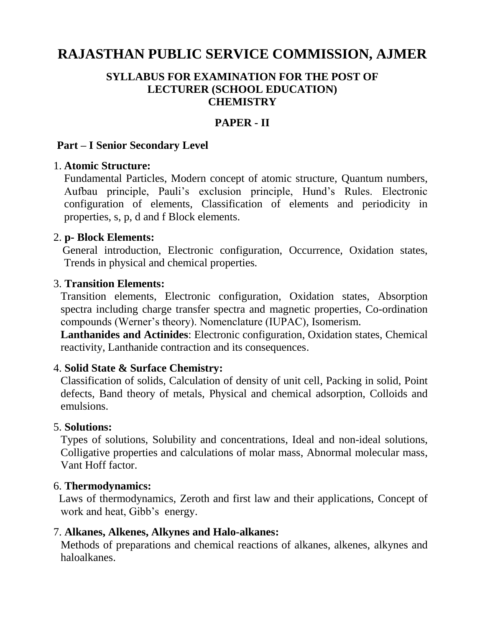# **RAJASTHAN PUBLIC SERVICE COMMISSION, AJMER**

#### **SYLLABUS FOR EXAMINATION FOR THE POST OF LECTURER (SCHOOL EDUCATION) CHEMISTRY**

### **PAPER - II**

#### **Part – I Senior Secondary Level**

#### 1. **Atomic Structure:**

Fundamental Particles, Modern concept of atomic structure, Quantum numbers, Aufbau principle, Pauli's exclusion principle, Hund's Rules. Electronic configuration of elements, Classification of elements and periodicity in properties, s, p, d and f Block elements.

#### 2. **p- Block Elements:**

General introduction, Electronic configuration, Occurrence, Oxidation states, Trends in physical and chemical properties.

#### 3. **Transition Elements:**

Transition elements, Electronic configuration, Oxidation states, Absorption spectra including charge transfer spectra and magnetic properties, Co-ordination compounds (Werner's theory). Nomenclature (IUPAC), Isomerism.

**Lanthanides and Actinides**: Electronic configuration, Oxidation states, Chemical reactivity, Lanthanide contraction and its consequences.

#### 4. **Solid State & Surface Chemistry:**

Classification of solids, Calculation of density of unit cell, Packing in solid, Point defects, Band theory of metals, Physical and chemical adsorption, Colloids and emulsions.

#### 5. **Solutions:**

Types of solutions, Solubility and concentrations, Ideal and non-ideal solutions, Colligative properties and calculations of molar mass, Abnormal molecular mass, Vant Hoff factor.

#### 6. **Thermodynamics:**

 Laws of thermodynamics, Zeroth and first law and their applications, Concept of work and heat, Gibb's energy.

#### 7. **Alkanes, Alkenes, Alkynes and Halo-alkanes:**

Methods of preparations and chemical reactions of alkanes, alkenes, alkynes and haloalkanes.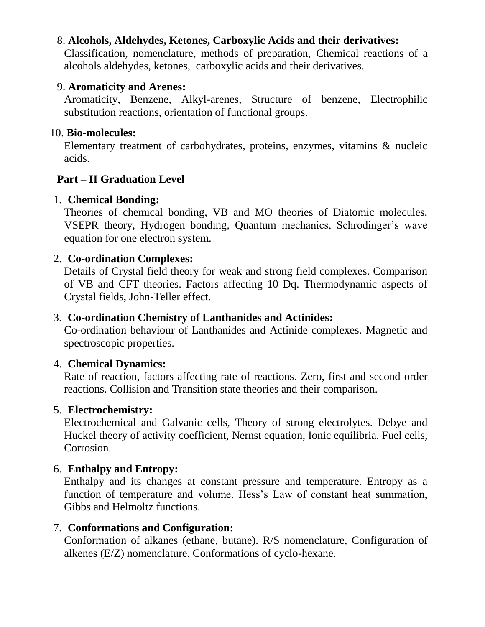### 8. **Alcohols, Aldehydes, Ketones, Carboxylic Acids and their derivatives:**

Classification, nomenclature, methods of preparation, Chemical reactions of a alcohols aldehydes, ketones, carboxylic acids and their derivatives.

#### 9. **Aromaticity and Arenes:**

Aromaticity, Benzene, Alkyl-arenes, Structure of benzene, Electrophilic substitution reactions, orientation of functional groups.

### 10. **Bio-molecules:**

Elementary treatment of carbohydrates, proteins, enzymes, vitamins & nucleic acids.

### **Part – II Graduation Level**

### 1. **Chemical Bonding:**

Theories of chemical bonding, VB and MO theories of Diatomic molecules, VSEPR theory, Hydrogen bonding, Quantum mechanics, Schrodinger's wave equation for one electron system.

### 2. **Co-ordination Complexes:**

Details of Crystal field theory for weak and strong field complexes. Comparison of VB and CFT theories. Factors affecting 10 Dq. Thermodynamic aspects of Crystal fields, John-Teller effect.

### 3. **Co-ordination Chemistry of Lanthanides and Actinides:**

Co-ordination behaviour of Lanthanides and Actinide complexes. Magnetic and spectroscopic properties.

### 4. **Chemical Dynamics:**

Rate of reaction, factors affecting rate of reactions. Zero, first and second order reactions. Collision and Transition state theories and their comparison.

### 5. **Electrochemistry:**

Electrochemical and Galvanic cells, Theory of strong electrolytes. Debye and Huckel theory of activity coefficient, Nernst equation, Ionic equilibria. Fuel cells, Corrosion.

### 6. **Enthalpy and Entropy:**

Enthalpy and its changes at constant pressure and temperature. Entropy as a function of temperature and volume. Hess's Law of constant heat summation, Gibbs and Helmoltz functions.

#### 7. **Conformations and Configuration:**

Conformation of alkanes (ethane, butane). R/S nomenclature, Configuration of alkenes (E/Z) nomenclature. Conformations of cyclo-hexane.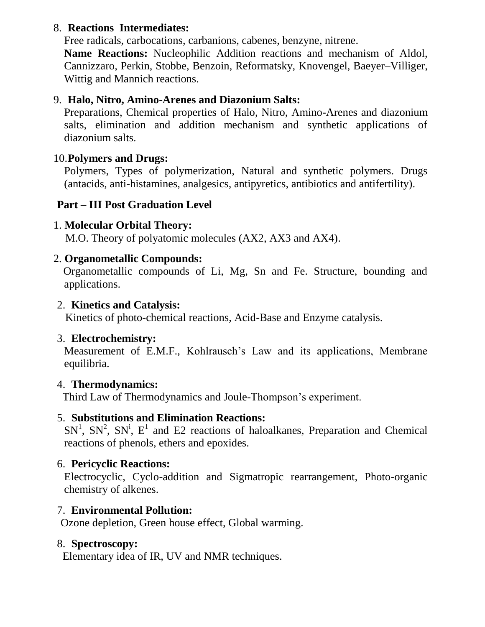### 8. **Reactions Intermediates:**

Free radicals, carbocations, carbanions, cabenes, benzyne, nitrene.

**Name Reactions:** Nucleophilic Addition reactions and mechanism of Aldol, Cannizzaro, Perkin, Stobbe, Benzoin, Reformatsky, Knovengel, Baeyer–Villiger, Wittig and Mannich reactions.

### 9. **Halo, Nitro, Amino-Arenes and Diazonium Salts:**

Preparations, Chemical properties of Halo, Nitro, Amino-Arenes and diazonium salts, elimination and addition mechanism and synthetic applications of diazonium salts.

### 10.**Polymers and Drugs:**

Polymers, Types of polymerization, Natural and synthetic polymers. Drugs (antacids, anti-histamines, analgesics, antipyretics, antibiotics and antifertility).

# **Part – III Post Graduation Level**

## 1. **Molecular Orbital Theory:**

M.O. Theory of polyatomic molecules (AX2, AX3 and AX4).

### 2. **Organometallic Compounds:**

Organometallic compounds of Li, Mg, Sn and Fe. Structure, bounding and applications.

### 2. **Kinetics and Catalysis:**

Kinetics of photo-chemical reactions, Acid-Base and Enzyme catalysis.

### 3. **Electrochemistry:**

Measurement of E.M.F., Kohlrausch's Law and its applications, Membrane equilibria.

### 4. **Thermodynamics:**

Third Law of Thermodynamics and Joule-Thompson's experiment.

### 5. **Substitutions and Elimination Reactions:**

 $SN<sup>1</sup>$ ,  $SN<sup>2</sup>$ ,  $SN<sup>1</sup>$ ,  $E<sup>1</sup>$  and E2 reactions of haloalkanes, Preparation and Chemical reactions of phenols, ethers and epoxides.

### 6. **Pericyclic Reactions:**

Electrocyclic, Cyclo-addition and Sigmatropic rearrangement, Photo-organic chemistry of alkenes.

### 7. **Environmental Pollution:**

Ozone depletion, Green house effect, Global warming.

#### 8. **Spectroscopy:**

Elementary idea of IR, UV and NMR techniques.